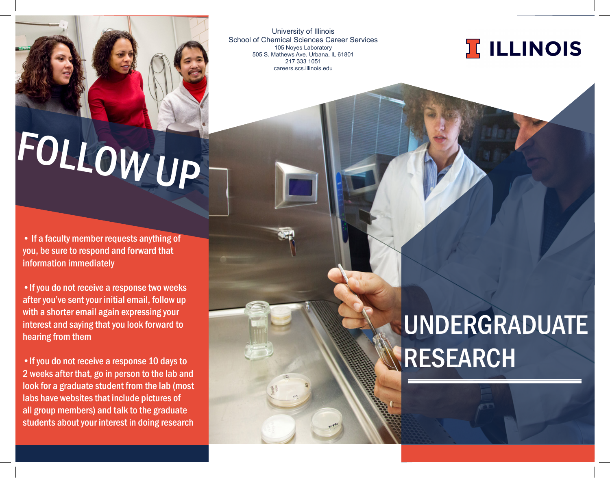University of Illinois School of Chemical Sciences Career Services 105 Noyes Laboratory 505 S. Mathews Ave. Urbana, IL 61801 217 333 1051 careers.scs.illinois.edu



# FOLLOW UP

• If a faculty member requests anything of you, be sure to respond and forward that information immediately

•If you do not receive a response two weeks after you've sent your initial email, follow up with a shorter email again expressing your interest and saying that you look forward to hearing from them

•If you do not receive a response 10 days to 2 weeks after that, go in person to the lab and look for a graduate student from the lab (most labs have websites that include pictures of all group members) and talk to the graduate students about your interest in doing research

### UNDERGRADUATE RESEARCH